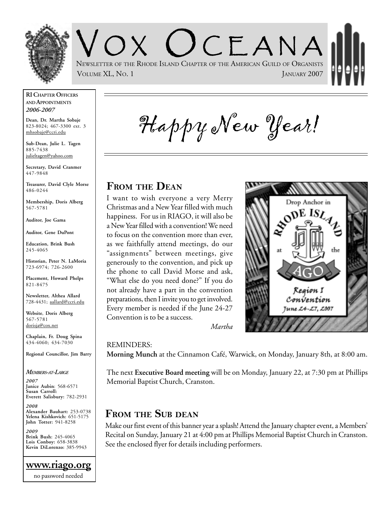

OX (JCEANA NEWSLETTER OF THE RHODE ISLAND CHAPTER OF THE AMERICAN GUILD OF ORGANISTS VOLUME XL, No. 1 JANUARY 2007

#### **RI CHAPTER OFFICERS AND APPOINTMENTS** *2006-2007*

**Dean, Dr. Martha Sobaje** 823-8024; 467-3300 ext. 3 mhsobaje@ccri.edu

**Sub-Dean, Julie L. Tagen** 885-7438 julieltagen@yahoo.com

**Secretary, David Cranmer** 447-9848

**Treasurer, David Clyle Morse** 486-0244

**Membership, Doris Alberg** 567-5781

**Auditor, Joe Gama**

**Auditor, Gene DuPont**

**Education, Brink Bush** 245-4065

**Historian, Peter N. LaMoria** 723-6974; 726-2600

**Placement, Howard Phelps** 821-8475

**Newsletter, Althea Allard** 728-4431; aallard@ccri.edu

**Website**, **Doris Alberg** 567-5781 dorisja@cox.net

**Chaplain, Fr. Doug Spina** 434-4060; 434-7030

**Regional Councillor, Jim Barry**

#### *MEMBERS-AT-LARGE*

*2007* **Janice Aubin**: 568-6571 **Susan Carroll: Everett Salisbury:** 782-2931

*2008* **Alexander Bauhart:** 253-0738 **Yelena Kishkovich:** 651-5175 **John Totter:** 941-8258

*2009* **Brink Bush:** 245-4065 **Lois Conboy:** 658-3838 **Kevin DiLorenzo:** 385-9943

Happy New Year!

### **FROM THE DEAN**

I want to wish everyone a very Merry Christmas and a New Year filled with much happiness. For us in RIAGO, it will also be a New Year filled with a convention! We need to focus on the convention more than ever, as we faithfully attend meetings, do our "assignments" between meetings, give generously to the convention, and pick up the phone to call David Morse and ask, "What else do you need done?" If you do not already have a part in the convention preparations, then I invite you to get involved. Every member is needed if the June 24-27 Convention is to be a success.



*Martha*

#### REMINDERS:

**Morning Munch** at the Cinnamon Café, Warwick, on Monday, January 8th, at 8:00 am.

The next **Executive Board meeting** will be on Monday, January 22, at 7:30 pm at Phillips Memorial Baptist Church, Cranston.

### **FROM THE SUB DEAN**

Make our first event of this banner year a splash! Attend the January chapter event, a Members' Recital on Sunday, January 21 at 4:00 pm at Phillips Memorial Baptist Church in Cranston. See the enclosed flyer for details including performers.

**www.riago.org** no password needed